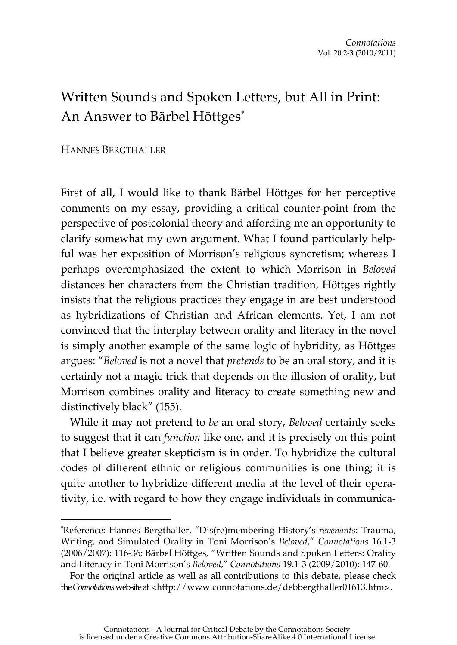## Written Sounds and Spoken Letters, but All in Print: An Answer to Bärbel Höttges\*

## HANNES BERGTHALLER

 $\overline{a}$ 

First of all, I would like to thank Bärbel Höttges for her perceptive comments on my essay, providing a critical counter-point from the perspective of postcolonial theory and affording me an opportunity to clarify somewhat my own argument. What I found particularly helpful was her exposition of Morrison's religious syncretism; whereas I perhaps overemphasized the extent to which Morrison in *Beloved* distances her characters from the Christian tradition, Höttges rightly insists that the religious practices they engage in are best understood as hybridizations of Christian and African elements. Yet, I am not convinced that the interplay between orality and literacy in the novel is simply another example of the same logic of hybridity, as Höttges argues: "*Beloved* is not a novel that *pretends* to be an oral story, and it is certainly not a magic trick that depends on the illusion of orality, but Morrison combines orality and literacy to create something new and distinctively black" (155).

While it may not pretend to *be* an oral story, *Beloved* certainly seeks to suggest that it can *function* like one, and it is precisely on this point that I believe greater skepticism is in order. To hybridize the cultural codes of different ethnic or religious communities is one thing; it is quite another to hybridize different media at the level of their operativity, i.e. with regard to how they engage individuals in communica-

<sup>\*</sup> Reference: Hannes Bergthaller, "Dis(re)membering History's *revenants*: Trauma, Writing, and Simulated Orality in Toni Morrison's *Beloved*," *Connotations* 16.1-3 (2006/2007): 116-36; Bärbel Höttges, "Written Sounds and Spoken Letters: Orality and Literacy in Toni Morrison's *Beloved*," *Connotations* 19.1-3 (2009/2010): 147-60.

For the original article as well as all contributions to this debate, please check the *Connotations* website at <http://www.connotations.de/debbergthaller01613.htm>.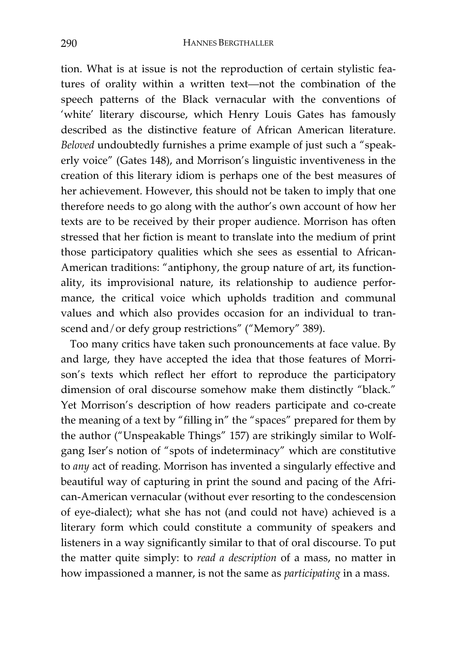tion. What is at issue is not the reproduction of certain stylistic features of orality within a written text—not the combination of the speech patterns of the Black vernacular with the conventions of 'white' literary discourse, which Henry Louis Gates has famously described as the distinctive feature of African American literature. *Beloved* undoubtedly furnishes a prime example of just such a "speakerly voice" (Gates 148), and Morrison's linguistic inventiveness in the creation of this literary idiom is perhaps one of the best measures of her achievement. However, this should not be taken to imply that one therefore needs to go along with the author's own account of how her texts are to be received by their proper audience. Morrison has often stressed that her fiction is meant to translate into the medium of print those participatory qualities which she sees as essential to African-American traditions: "antiphony, the group nature of art, its functionality, its improvisional nature, its relationship to audience performance, the critical voice which upholds tradition and communal values and which also provides occasion for an individual to transcend and/or defy group restrictions" ("Memory" 389).

Too many critics have taken such pronouncements at face value. By and large, they have accepted the idea that those features of Morrison's texts which reflect her effort to reproduce the participatory dimension of oral discourse somehow make them distinctly "black." Yet Morrison's description of how readers participate and co-create the meaning of a text by "filling in" the "spaces" prepared for them by the author ("Unspeakable Things" 157) are strikingly similar to Wolfgang Iser's notion of "spots of indeterminacy" which are constitutive to *any* act of reading. Morrison has invented a singularly effective and beautiful way of capturing in print the sound and pacing of the African-American vernacular (without ever resorting to the condescension of eye-dialect); what she has not (and could not have) achieved is a literary form which could constitute a community of speakers and listeners in a way significantly similar to that of oral discourse. To put the matter quite simply: to *read a description* of a mass, no matter in how impassioned a manner, is not the same as *participating* in a mass.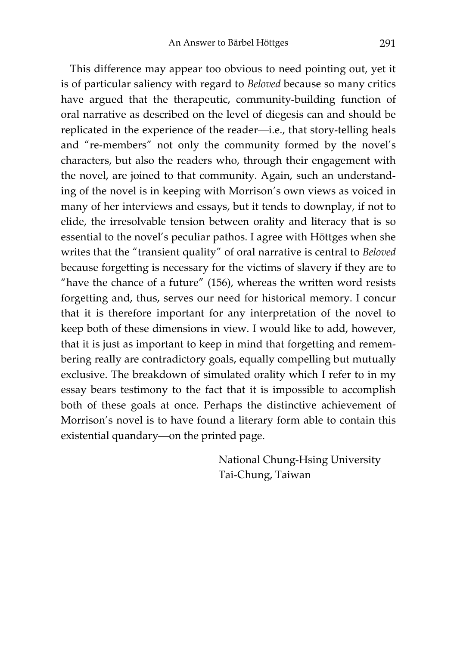This difference may appear too obvious to need pointing out, yet it is of particular saliency with regard to *Beloved* because so many critics have argued that the therapeutic, community-building function of oral narrative as described on the level of diegesis can and should be replicated in the experience of the reader—i.e., that story-telling heals and "re-members" not only the community formed by the novel's characters, but also the readers who, through their engagement with the novel, are joined to that community. Again, such an understanding of the novel is in keeping with Morrison's own views as voiced in many of her interviews and essays, but it tends to downplay, if not to elide, the irresolvable tension between orality and literacy that is so essential to the novel's peculiar pathos. I agree with Höttges when she writes that the "transient quality" of oral narrative is central to *Beloved* because forgetting is necessary for the victims of slavery if they are to "have the chance of a future" (156), whereas the written word resists forgetting and, thus, serves our need for historical memory. I concur that it is therefore important for any interpretation of the novel to keep both of these dimensions in view. I would like to add, however, that it is just as important to keep in mind that forgetting and remembering really are contradictory goals, equally compelling but mutually exclusive. The breakdown of simulated orality which I refer to in my essay bears testimony to the fact that it is impossible to accomplish both of these goals at once. Perhaps the distinctive achievement of Morrison's novel is to have found a literary form able to contain this existential quandary—on the printed page.

> National Chung-Hsing University Tai-Chung, Taiwan